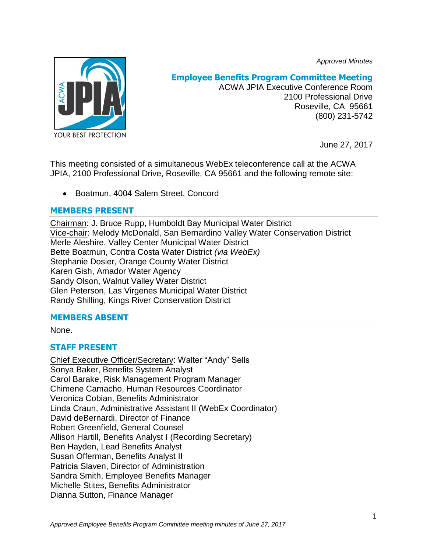*Approved Minutes*



# **Employee Benefits Program Committee Meeting**

ACWA JPIA Executive Conference Room 2100 Professional Drive Roseville, CA 95661 (800) 231-5742

June 27, 2017

This meeting consisted of a simultaneous WebEx teleconference call at the ACWA JPIA, 2100 Professional Drive, Roseville, CA 95661 and the following remote site:

Boatmun, 4004 Salem Street, Concord

## **MEMBERS PRESENT**

Chairman: J. Bruce Rupp, Humboldt Bay Municipal Water District Vice-chair: Melody McDonald, San Bernardino Valley Water Conservation District Merle Aleshire, Valley Center Municipal Water District Bette Boatmun, Contra Costa Water District *(via WebEx)* Stephanie Dosier, Orange County Water District Karen Gish, Amador Water Agency Sandy Olson, Walnut Valley Water District Glen Peterson, Las Virgenes Municipal Water District Randy Shilling, Kings River Conservation District

## **MEMBERS ABSENT**

None.

## **STAFF PRESENT**

Chief Executive Officer/Secretary: Walter "Andy" Sells Sonya Baker, Benefits System Analyst Carol Barake, Risk Management Program Manager Chimene Camacho, Human Resources Coordinator Veronica Cobian, Benefits Administrator Linda Craun, Administrative Assistant II (WebEx Coordinator) David deBernardi, Director of Finance Robert Greenfield, General Counsel Allison Hartill, Benefits Analyst I (Recording Secretary) Ben Hayden, Lead Benefits Analyst Susan Offerman, Benefits Analyst II Patricia Slaven, Director of Administration Sandra Smith, Employee Benefits Manager Michelle Stites, Benefits Administrator Dianna Sutton, Finance Manager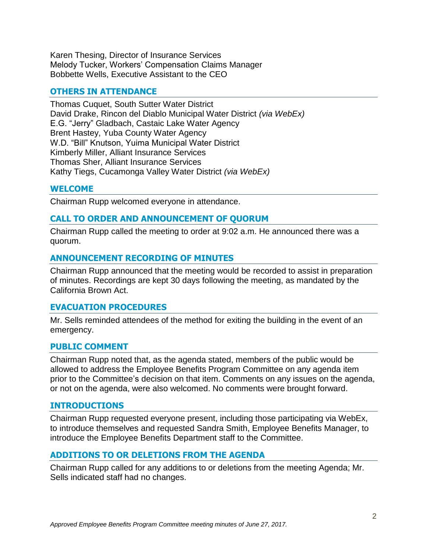Karen Thesing, Director of Insurance Services Melody Tucker, Workers' Compensation Claims Manager Bobbette Wells, Executive Assistant to the CEO

#### **OTHERS IN ATTENDANCE**

Thomas Cuquet, South Sutter Water District David Drake, Rincon del Diablo Municipal Water District *(via WebEx)* E.G. "Jerry" Gladbach, Castaic Lake Water Agency Brent Hastey, Yuba County Water Agency W.D. "Bill" Knutson, Yuima Municipal Water District Kimberly Miller, Alliant Insurance Services Thomas Sher, Alliant Insurance Services Kathy Tiegs, Cucamonga Valley Water District *(via WebEx)*

#### **WELCOME**

Chairman Rupp welcomed everyone in attendance.

### **CALL TO ORDER AND ANNOUNCEMENT OF QUORUM**

Chairman Rupp called the meeting to order at 9:02 a.m. He announced there was a quorum.

#### **ANNOUNCEMENT RECORDING OF MINUTES**

Chairman Rupp announced that the meeting would be recorded to assist in preparation of minutes. Recordings are kept 30 days following the meeting, as mandated by the California Brown Act.

#### **EVACUATION PROCEDURES**

Mr. Sells reminded attendees of the method for exiting the building in the event of an emergency.

#### **PUBLIC COMMENT**

Chairman Rupp noted that, as the agenda stated, members of the public would be allowed to address the Employee Benefits Program Committee on any agenda item prior to the Committee's decision on that item. Comments on any issues on the agenda, or not on the agenda, were also welcomed. No comments were brought forward.

#### **INTRODUCTIONS**

Chairman Rupp requested everyone present, including those participating via WebEx, to introduce themselves and requested Sandra Smith, Employee Benefits Manager, to introduce the Employee Benefits Department staff to the Committee.

#### **ADDITIONS TO OR DELETIONS FROM THE AGENDA**

Chairman Rupp called for any additions to or deletions from the meeting Agenda; Mr. Sells indicated staff had no changes.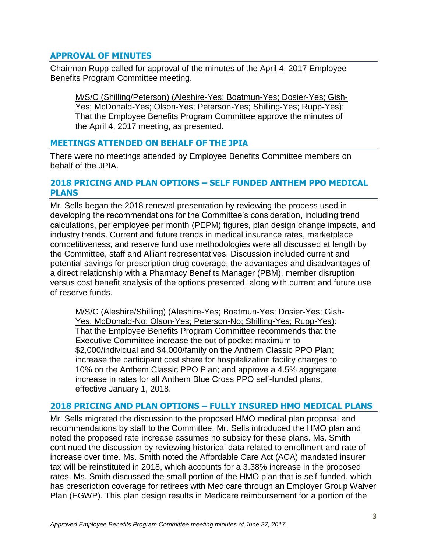## **APPROVAL OF MINUTES**

Chairman Rupp called for approval of the minutes of the April 4, 2017 Employee Benefits Program Committee meeting.

M/S/C (Shilling/Peterson) (Aleshire-Yes; Boatmun-Yes; Dosier-Yes; Gish-Yes; McDonald-Yes; Olson-Yes; Peterson-Yes; Shilling-Yes; Rupp-Yes): That the Employee Benefits Program Committee approve the minutes of the April 4, 2017 meeting, as presented.

## **MEETINGS ATTENDED ON BEHALF OF THE JPIA**

There were no meetings attended by Employee Benefits Committee members on behalf of the JPIA.

#### **2018 PRICING AND PLAN OPTIONS – SELF FUNDED ANTHEM PPO MEDICAL PLANS**

Mr. Sells began the 2018 renewal presentation by reviewing the process used in developing the recommendations for the Committee's consideration, including trend calculations, per employee per month (PEPM) figures, plan design change impacts, and industry trends. Current and future trends in medical insurance rates, marketplace competitiveness, and reserve fund use methodologies were all discussed at length by the Committee, staff and Alliant representatives. Discussion included current and potential savings for prescription drug coverage, the advantages and disadvantages of a direct relationship with a Pharmacy Benefits Manager (PBM), member disruption versus cost benefit analysis of the options presented, along with current and future use of reserve funds.

M/S/C (Aleshire/Shilling) (Aleshire-Yes; Boatmun-Yes; Dosier-Yes; Gish-Yes; McDonald-No; Olson-Yes; Peterson-No; Shilling-Yes; Rupp-Yes): That the Employee Benefits Program Committee recommends that the Executive Committee increase the out of pocket maximum to \$2,000/individual and \$4,000/family on the Anthem Classic PPO Plan; increase the participant cost share for hospitalization facility charges to 10% on the Anthem Classic PPO Plan; and approve a 4.5% aggregate increase in rates for all Anthem Blue Cross PPO self-funded plans, effective January 1, 2018.

### **2018 PRICING AND PLAN OPTIONS – FULLY INSURED HMO MEDICAL PLANS**

Mr. Sells migrated the discussion to the proposed HMO medical plan proposal and recommendations by staff to the Committee. Mr. Sells introduced the HMO plan and noted the proposed rate increase assumes no subsidy for these plans. Ms. Smith continued the discussion by reviewing historical data related to enrollment and rate of increase over time. Ms. Smith noted the Affordable Care Act (ACA) mandated insurer tax will be reinstituted in 2018, which accounts for a 3.38% increase in the proposed rates. Ms. Smith discussed the small portion of the HMO plan that is self-funded, which has prescription coverage for retirees with Medicare through an Employer Group Waiver Plan (EGWP). This plan design results in Medicare reimbursement for a portion of the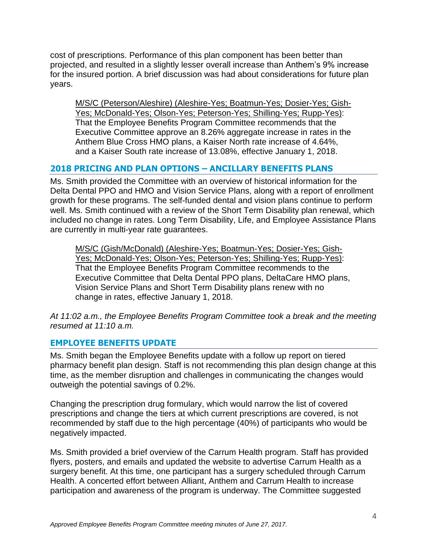cost of prescriptions. Performance of this plan component has been better than projected, and resulted in a slightly lesser overall increase than Anthem's 9% increase for the insured portion. A brief discussion was had about considerations for future plan years.

M/S/C (Peterson/Aleshire) (Aleshire-Yes; Boatmun-Yes; Dosier-Yes; Gish-Yes; McDonald-Yes; Olson-Yes; Peterson-Yes; Shilling-Yes; Rupp-Yes): That the Employee Benefits Program Committee recommends that the Executive Committee approve an 8.26% aggregate increase in rates in the Anthem Blue Cross HMO plans, a Kaiser North rate increase of 4.64%, and a Kaiser South rate increase of 13.08%, effective January 1, 2018.

## **2018 PRICING AND PLAN OPTIONS – ANCILLARY BENEFITS PLANS**

Ms. Smith provided the Committee with an overview of historical information for the Delta Dental PPO and HMO and Vision Service Plans, along with a report of enrollment growth for these programs. The self-funded dental and vision plans continue to perform well. Ms. Smith continued with a review of the Short Term Disability plan renewal, which included no change in rates. Long Term Disability, Life, and Employee Assistance Plans are currently in multi-year rate guarantees.

M/S/C (Gish/McDonald) (Aleshire-Yes; Boatmun-Yes; Dosier-Yes; Gish-Yes; McDonald-Yes; Olson-Yes; Peterson-Yes; Shilling-Yes; Rupp-Yes): That the Employee Benefits Program Committee recommends to the Executive Committee that Delta Dental PPO plans, DeltaCare HMO plans, Vision Service Plans and Short Term Disability plans renew with no change in rates, effective January 1, 2018.

*At 11:02 a.m., the Employee Benefits Program Committee took a break and the meeting resumed at 11:10 a.m.*

## **EMPLOYEE BENEFITS UPDATE**

Ms. Smith began the Employee Benefits update with a follow up report on tiered pharmacy benefit plan design. Staff is not recommending this plan design change at this time, as the member disruption and challenges in communicating the changes would outweigh the potential savings of 0.2%.

Changing the prescription drug formulary, which would narrow the list of covered prescriptions and change the tiers at which current prescriptions are covered, is not recommended by staff due to the high percentage (40%) of participants who would be negatively impacted.

Ms. Smith provided a brief overview of the Carrum Health program. Staff has provided flyers, posters, and emails and updated the website to advertise Carrum Health as a surgery benefit. At this time, one participant has a surgery scheduled through Carrum Health. A concerted effort between Alliant, Anthem and Carrum Health to increase participation and awareness of the program is underway. The Committee suggested